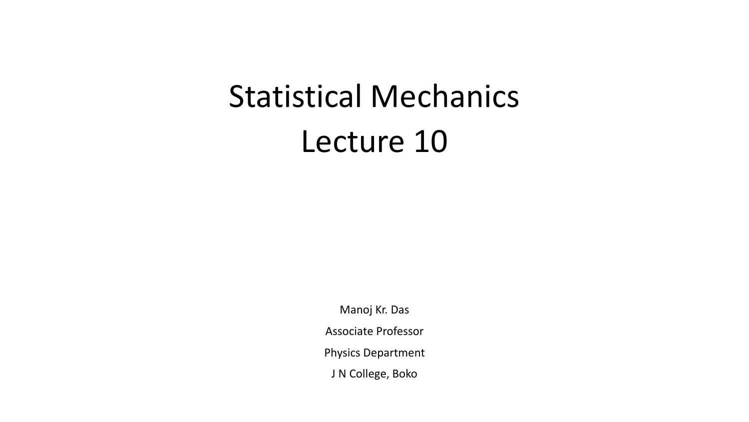# Statistical Mechanics Lecture 10

Manoj Kr. Das Associate Professor Physics Department J N College, Boko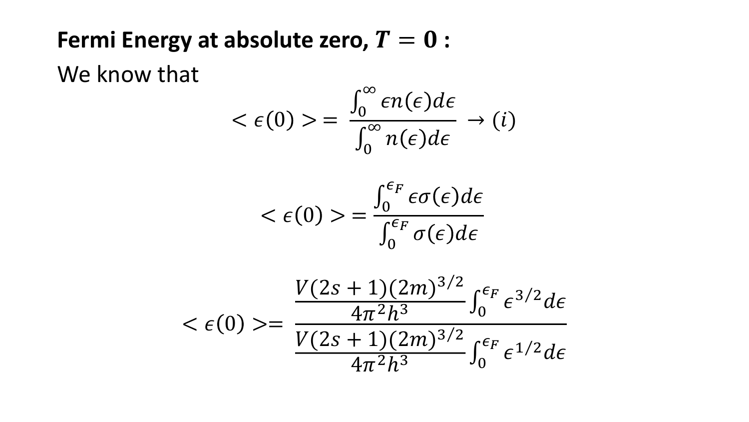#### Fermi Energy at absolute zero,  $T = 0$  :

We know that

$$
\langle \epsilon(0) \rangle = \frac{\int_0^\infty \epsilon n(\epsilon) d\epsilon}{\int_0^\infty n(\epsilon) d\epsilon} \to (i)
$$

$$
\langle \epsilon(0) \rangle = \frac{\int_0^{\epsilon_F} \epsilon \sigma(\epsilon) d\epsilon}{\int_0^{\epsilon_F} \sigma(\epsilon) d\epsilon}
$$

$$
\langle \epsilon(0) \rangle = \frac{V(2s+1)(2m)^{3/2}}{\frac{V(2s+1)(2m)^{3/2}}{4\pi^2 h^3} \int_0^{\epsilon_F} \epsilon^{3/2} d\epsilon} \frac{1}{4\pi^2 h^3}
$$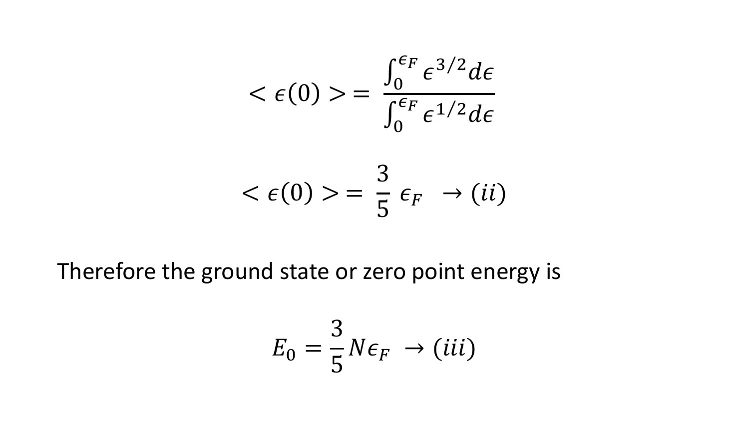$$
\langle \epsilon(0) \rangle = \frac{\int_0^{\epsilon_F} \epsilon^{3/2} d\epsilon}{\int_0^{\epsilon_F} \epsilon^{1/2} d\epsilon}
$$

$$
\langle \epsilon(0) \rangle = \frac{3}{5} \epsilon_F \to (ii)
$$

Therefore the ground state or zero point energy is

$$
E_0 = \frac{3}{5} N \epsilon_F \rightarrow (iii)
$$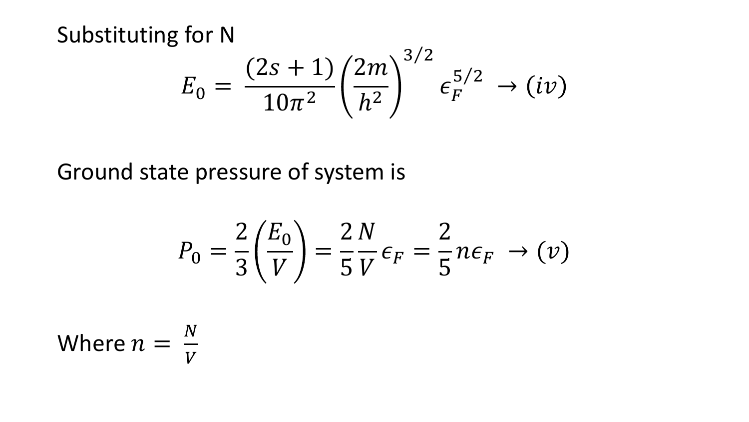Substituting for N

$$
E_0 = \frac{(2s+1)}{10\pi^2} \left(\frac{2m}{h^2}\right)^{3/2} \epsilon_F^{5/2} \to (iv)
$$

Ground state pressure of system is

$$
P_0 = \frac{2}{3} \left( \frac{E_0}{V} \right) = \frac{2 N}{5 V} \epsilon_F = \frac{2}{5} n \epsilon_F \rightarrow (v)
$$

Where 
$$
n = \frac{N}{V}
$$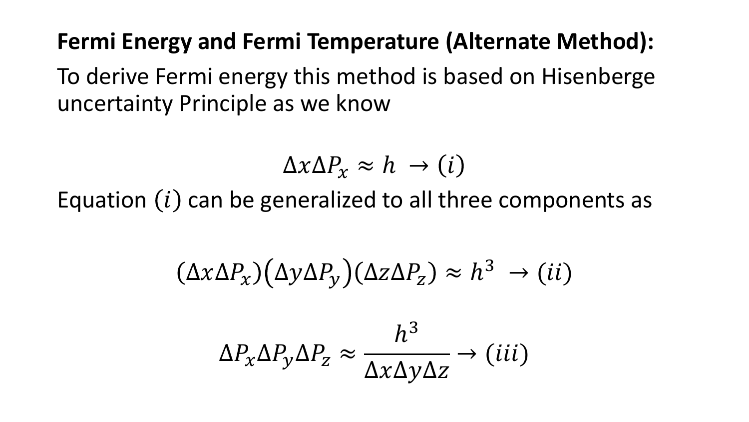#### **Fermi Energy and Fermi Temperature (Alternate Method):**

To derive Fermi energy this method is based on Hisenberge uncertainty Principle as we know

 $\Delta x \Delta P_x \approx h \rightarrow (i)$ 

Equation  $(i)$  can be generalized to all three components as

$$
(\Delta x \Delta P_x) (\Delta y \Delta P_y) (\Delta z \Delta P_z) \approx h^3 \rightarrow (ii)
$$

$$
\Delta P_{\chi} \Delta P_{\chi} \Delta P_{z} \approx \frac{h^{3}}{\Delta x \Delta y \Delta z} \rightarrow (iii)
$$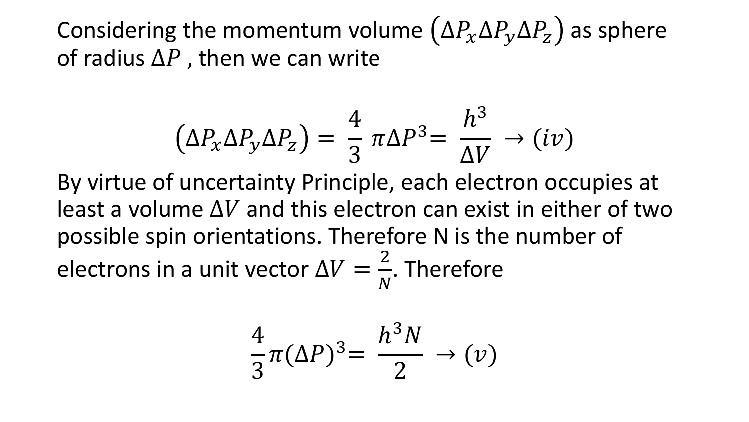Considering the momentum volume  $(\Delta P_{\chi} \Delta P_{\chi} \Delta P_{Z})$  as sphere of radius  $\Delta P$ , then we can write

$$
\left(\Delta P_{x} \Delta P_{y} \Delta P_{z}\right) = \frac{4}{3} \pi \Delta P^{3} = \frac{h^{3}}{\Delta V} \rightarrow (iv)
$$

By virtue of uncertainty Principle, each electron occupies at least a volume  $\Delta V$  and this electron can exist in either of two possible spin orientations. Therefore N is the number of electrons in a unit vector  $\Delta V =$ 2  $\boldsymbol{N}$ . Therefore

$$
\frac{4}{3}\pi(\Delta P)^3 = \frac{h^3N}{2} \to (\nu)
$$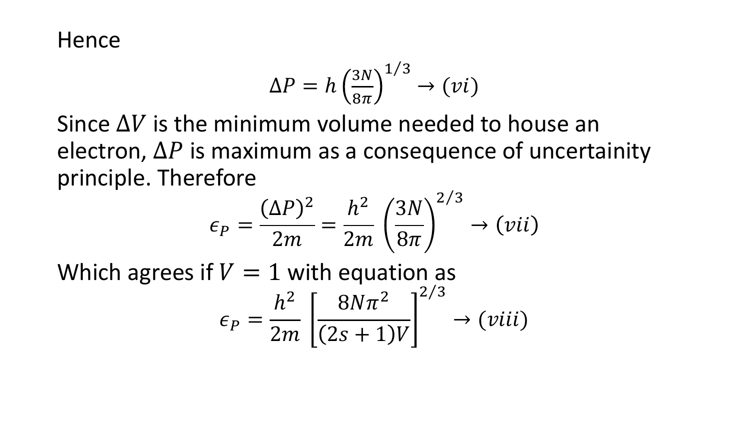**Hence** 

$$
\Delta P = h \left(\frac{3N}{8\pi}\right)^{1/3} \to (vi)
$$

Since  $\Delta V$  is the minimum volume needed to house an electron,  $\Delta P$  is maximum as a consequence of uncertainity principle. Therefore  $\Omega$ 

$$
\epsilon_P = \frac{(\Delta P)^2}{2m} = \frac{h^2}{2m} \left(\frac{3N}{8\pi}\right)^{2/3} \to (vii)
$$
  
Which agrees if  $V = 1$  with equation as  

$$
\epsilon_P = \frac{h^2}{2m} \left[\frac{8N\pi^2}{(2s+1)V}\right]^{2/3} \to (viii)
$$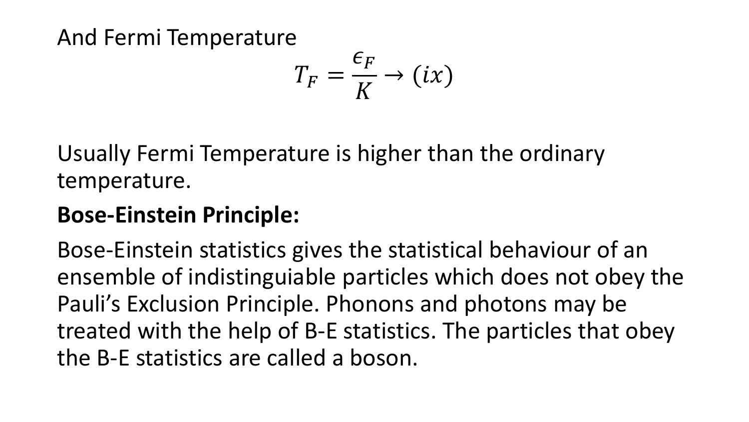And Fermi Temperature

$$
T_F = \frac{\epsilon_F}{K} \to (ix)
$$

Usually Fermi Temperature is higher than the ordinary temperature.

## **Bose-Einstein Principle:**

Bose-Einstein statistics gives the statistical behaviour of an ensemble of indistinguiable particles which does not obey the Pauli's Exclusion Principle. Phonons and photons may be treated with the help of B-E statistics. The particles that obey the B-E statistics are called a boson.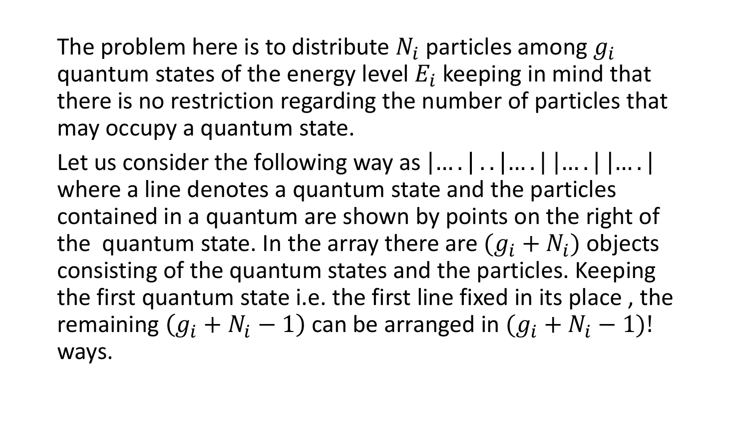The problem here is to distribute  $N_i$  particles among  $g_i$ quantum states of the energy level  $E_i$  keeping in mind that there is no restriction regarding the number of particles that may occupy a quantum state.

Let us consider the following way as  $|...|...|...|$   $|...|$   $|...|$ where a line denotes a quantum state and the particles contained in a quantum are shown by points on the right of the quantum state. In the array there are  $(g_i + N_i)$  objects consisting of the quantum states and the particles. Keeping the first quantum state i.e. the first line fixed in its place , the remaining  $(g_i + N_i - 1)$  can be arranged in  $(g_i + N_i - 1)!$ ways.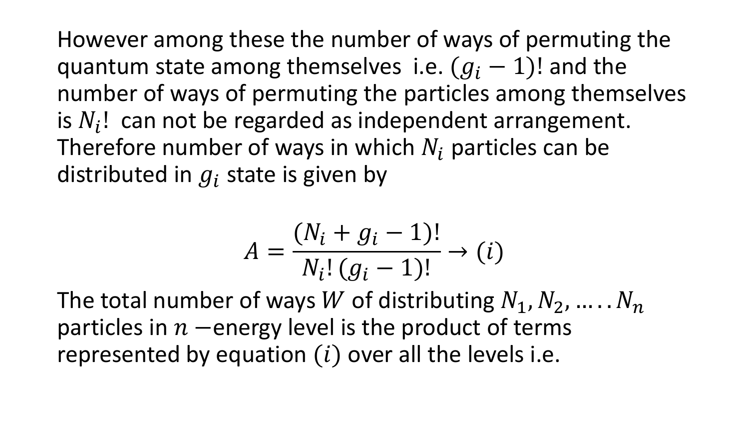However among these the number of ways of permuting the quantum state among themselves i.e.  $(q_i - 1)!$  and the number of ways of permuting the particles among themselves is  $N_i!$  can not be regarded as independent arrangement. Therefore number of ways in which  $N_i$  particles can be distributed in  $g_i$  state is given by

$$
A = \frac{(N_i + g_i - 1)!}{N_i! (g_i - 1)!} \to (i)
$$

The total number of ways W of distributing  $N_1, N_2, ..., N_n$ particles in  $n$  –energy level is the product of terms represented by equation  $(i)$  over all the levels i.e.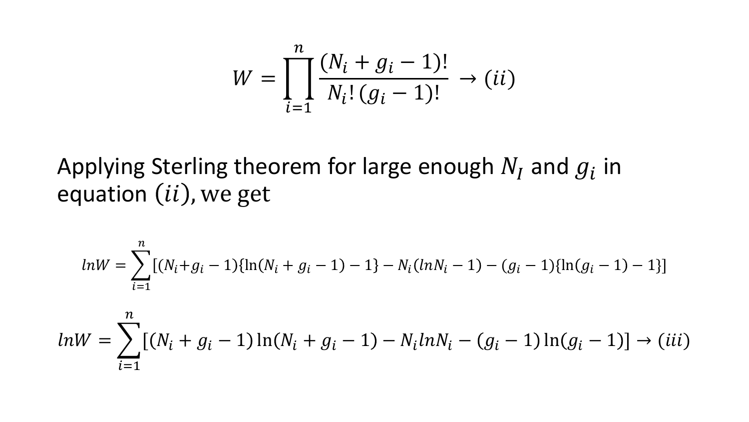$$
W = \prod_{i=1}^{n} \frac{(N_i + g_i - 1)!}{N_i! (g_i - 1)!} \to (ii)
$$

Applying Sterling theorem for large enough  $N_I$  and  $g_i$  in equation  $(ii)$ , we get

$$
ln W = \sum_{i=1}^{n} [(N_i + g_i - 1)\{ln(N_i + g_i - 1) - 1\} - N_i(lnN_i - 1) - (g_i - 1)\{ln(g_i - 1) - 1\}]
$$

$$
ln W = \sum_{i=1}^{n} [(N_i + g_i - 1) \ln(N_i + g_i - 1) - N_i ln N_i - (g_i - 1) \ln(g_i - 1)] \rightarrow (iii)
$$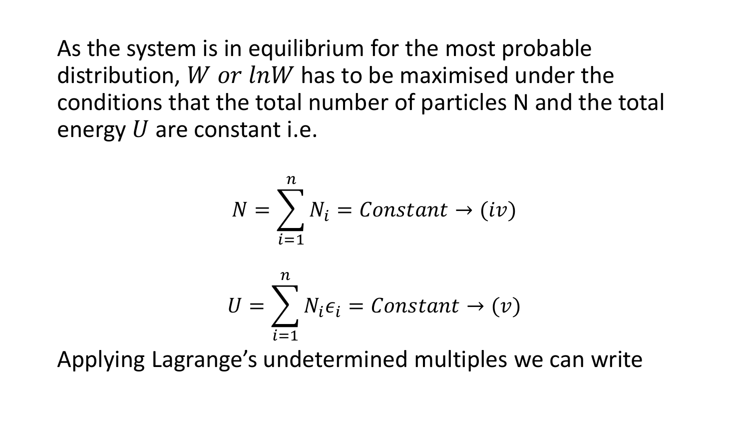As the system is in equilibrium for the most probable distribution, *W or lnW* has to be maximised under the conditions that the total number of particles N and the total energy  $U$  are constant i.e.

$$
N = \sum_{i=1}^{n} N_i = Constant \rightarrow (iv)
$$

$$
U = \sum_{i=1}^{n} N_i \epsilon_i = Constant \rightarrow (v)
$$

Applying Lagrange's undetermined multiples we can write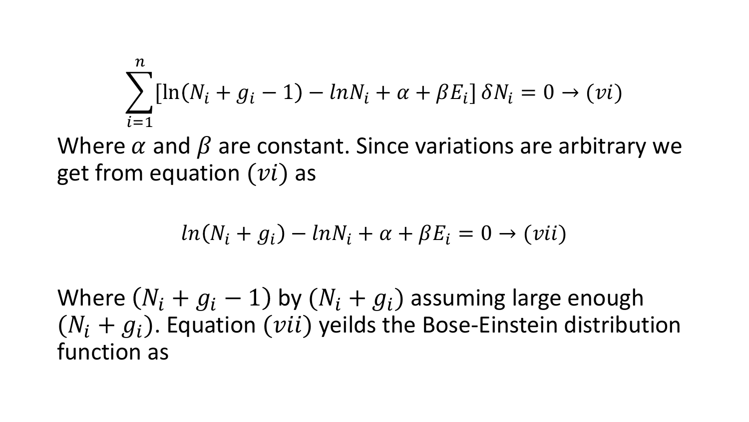$$
\sum_{i=1}^{n} [\ln(N_i + g_i - 1) - \ln N_i + \alpha + \beta E_i] \delta N_i = 0 \rightarrow (vi)
$$

Where  $\alpha$  and  $\beta$  are constant. Since variations are arbitrary we get from equation  $(vi)$  as

$$
ln(N_i + g_i) - lnN_i + \alpha + \beta E_i = 0 \rightarrow (vii)
$$

Where  $(N_i + g_i - 1)$  by  $(N_i + g_i)$  assuming large enough  $(N_i + g_i)$ . Equation (*vii*) yeilds the Bose-Einstein distribution function as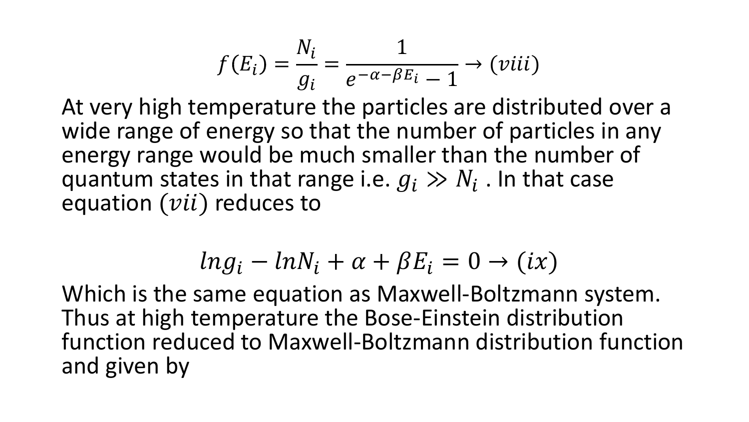$$
f(E_i) = \frac{N_i}{g_i} = \frac{1}{e^{-\alpha - \beta E_i} - 1} \rightarrow (viii)
$$

At very high temperature the particles are distributed over a wide range of energy so that the number of particles in any energy range would be much smaller than the number of quantum states in that range i.e.  $g_i \gg N_i$ . In that case equation  $(vii)$  reduces to

$$
ln g_i - ln N_i + \alpha + \beta E_i = 0 \rightarrow (ix)
$$

Which is the same equation as Maxwell-Boltzmann system. Thus at high temperature the Bose-Einstein distribution function reduced to Maxwell-Boltzmann distribution function and given by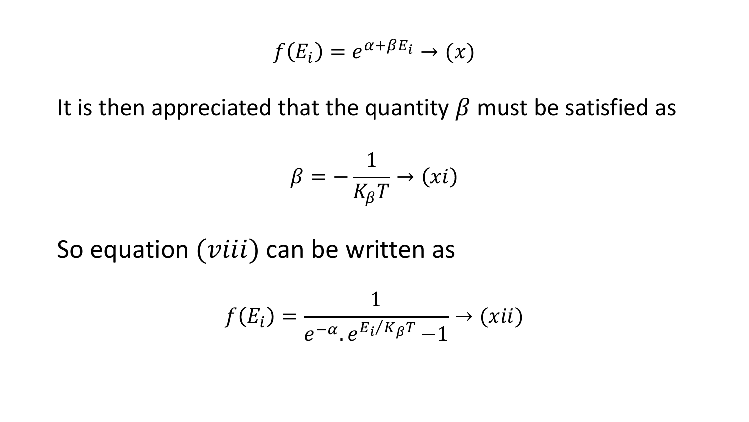$$
f(E_i) = e^{\alpha + \beta E_i} \to (x)
$$

It is then appreciated that the quantity  $\beta$  must be satisfied as

$$
\beta = -\frac{1}{K_{\beta}T} \rightarrow (xi)
$$

So equation  $(viii)$  can be written as

$$
f(E_i) = \frac{1}{e^{-\alpha} \cdot e^{E_i/K_{\beta}T} - 1} \rightarrow (xii)
$$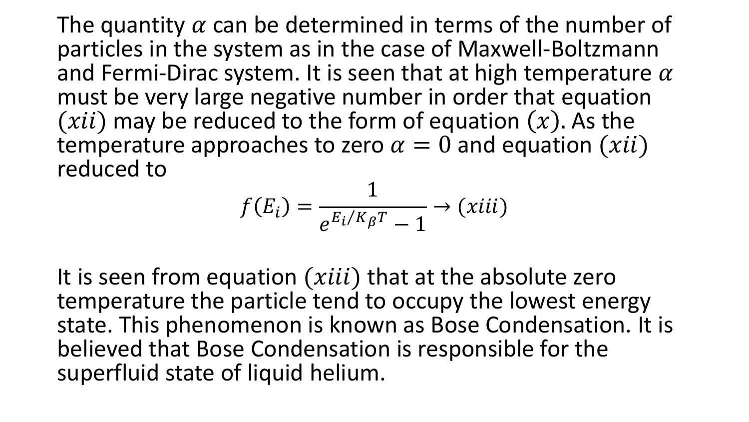The quantity  $\alpha$  can be determined in terms of the number of particles in the system as in the case of Maxwell-Boltzmann and Fermi-Dirac system. It is seen that at high temperature  $\alpha$ must be very large negative number in order that equation  $(xii)$  may be reduced to the form of equation  $(x)$ . As the temperature approaches to zero  $\alpha = 0$  and equation  $(xii)$ reduced to

$$
f(E_i) = \frac{1}{e^{E_i/K_{\beta}T} - 1} \rightarrow (xiii)
$$

It is seen from equation  $(xiii)$  that at the absolute zero temperature the particle tend to occupy the lowest energy state. This phenomenon is known as Bose Condensation. It is believed that Bose Condensation is responsible for the superfluid state of liquid helium.